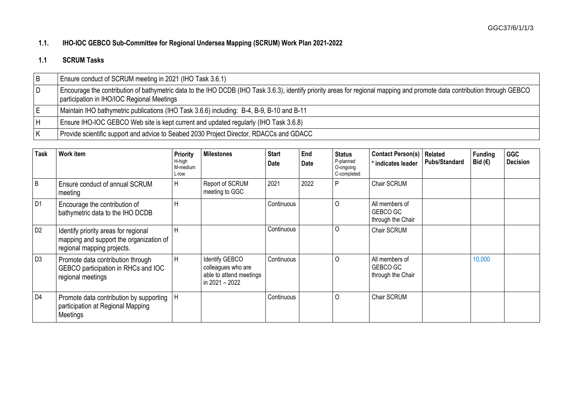## **1.1. IHO-IOC GEBCO Sub-Committee for Regional Undersea Mapping (SCRUM) Work Plan 2021-2022**

## **1.1 SCRUM Tasks**

| l B                     | Ensure conduct of SCRUM meeting in 2021 (IHO Task 3.6.1)                                                                                                                                                                |
|-------------------------|-------------------------------------------------------------------------------------------------------------------------------------------------------------------------------------------------------------------------|
| $\overline{D}$          | Encourage the contribution of bathymetric data to the IHO DCDB (IHO Task 3.6.3), identify priority areas for regional mapping and promote data contribution through GEBCO<br>participation in IHO/IOC Regional Meetings |
| ΙE                      | Maintain IHO bathymetric publications (IHO Task 3.6.6) including: B-4, B-9, B-10 and B-11                                                                                                                               |
| lН                      | Ensure IHO-IOC GEBCO Web site is kept current and updated regularly (IHO Task 3.6.8)                                                                                                                                    |
| $\overline{\mathsf{K}}$ | Provide scientific support and advice to Seabed 2030 Project Director, RDACCs and GDACC                                                                                                                                 |

| <b>Task</b>    | Work item                                                                                                     | <b>Priority</b><br>H-high<br>M-medium<br>L-low | <b>Milestones</b>                                                                 | <b>Start</b><br>Date | End<br>Date | <b>Status</b><br>P-planned<br>O-ongoing<br>C-completed | <b>Contact Person(s)</b><br>* indicates leader  | Related<br><b>Pubs/Standard</b> | <b>Funding</b><br>Bid $(E)$ | <b>GGC</b><br><b>Decision</b> |
|----------------|---------------------------------------------------------------------------------------------------------------|------------------------------------------------|-----------------------------------------------------------------------------------|----------------------|-------------|--------------------------------------------------------|-------------------------------------------------|---------------------------------|-----------------------------|-------------------------------|
| B              | Ensure conduct of annual SCRUM<br>meeting                                                                     | $\mathsf{H}$                                   | Report of SCRUM<br>meeting to GGC                                                 | 2021                 | 2022        |                                                        | Chair SCRUM                                     |                                 |                             |                               |
| D <sub>1</sub> | Encourage the contribution of<br>bathymetric data to the IHO DCDB                                             | п                                              |                                                                                   | Continuous           |             |                                                        | All members of<br>GEBCO GC<br>through the Chair |                                 |                             |                               |
| D <sub>2</sub> | Identify priority areas for regional<br>mapping and support the organization of<br>regional mapping projects. | H                                              |                                                                                   | Continuous           |             |                                                        | Chair SCRUM                                     |                                 |                             |                               |
| D <sub>3</sub> | Promote data contribution through<br>GEBCO participation in RHCs and IOC<br>regional meetings                 | H                                              | Identify GEBCO<br>colleagues who are<br>able to attend meetings<br>in 2021 - 2022 | Continuous           |             |                                                        | All members of<br>GEBCO GC<br>through the Chair |                                 | 10,000                      |                               |
| D <sub>4</sub> | Promote data contribution by supporting<br>participation at Regional Mapping<br>Meetings                      |                                                |                                                                                   | Continuous           |             |                                                        | Chair SCRUM                                     |                                 |                             |                               |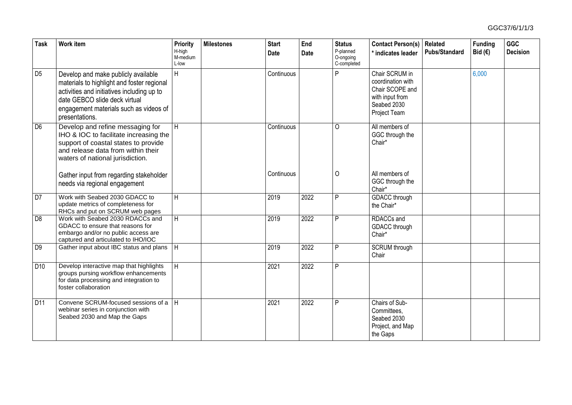| <b>Task</b>      | <b>Work item</b>                                                                                                                                                                                                             | Priority<br>H-high<br>M-medium<br>L-low | <b>Milestones</b> | <b>Start</b><br><b>Date</b> | End<br><b>Date</b> | <b>Status</b><br>P-planned<br>O-ongoing<br>C-completed | <b>Contact Person(s)</b><br>* indicates leader                                                           | Related<br><b>Pubs/Standard</b> | <b>Funding</b><br>Bid $(€)$ | <b>GGC</b><br><b>Decision</b> |
|------------------|------------------------------------------------------------------------------------------------------------------------------------------------------------------------------------------------------------------------------|-----------------------------------------|-------------------|-----------------------------|--------------------|--------------------------------------------------------|----------------------------------------------------------------------------------------------------------|---------------------------------|-----------------------------|-------------------------------|
| D <sub>5</sub>   | Develop and make publicly available<br>materials to highlight and foster regional<br>activities and initiatives including up to<br>date GEBCO slide deck virtual<br>engagement materials such as videos of<br>presentations. | H                                       |                   | Continuous                  |                    | P                                                      | Chair SCRUM in<br>coordination with<br>Chair SCOPE and<br>with input from<br>Seabed 2030<br>Project Team |                                 | 6,000                       |                               |
| $\overline{D6}$  | Develop and refine messaging for<br>IHO & IOC to facilitate increasing the<br>support of coastal states to provide<br>and release data from within their<br>waters of national jurisdiction.                                 | H                                       |                   | Continuous                  |                    | O                                                      | All members of<br>GGC through the<br>Chair*                                                              |                                 |                             |                               |
|                  | Gather input from regarding stakeholder<br>needs via regional engagement                                                                                                                                                     |                                         |                   | Continuous                  |                    | 0                                                      | All members of<br>GGC through the<br>Chair*                                                              |                                 |                             |                               |
| DT               | Work with Seabed 2030 GDACC to<br>update metrics of completeness for<br>RHCs and put on SCRUM web pages                                                                                                                      | H                                       |                   | 2019                        | 2022               | P                                                      | <b>GDACC</b> through<br>the Chair*                                                                       |                                 |                             |                               |
| $\overline{D8}$  | Work with Seabed 2030 RDACCs and<br>GDACC to ensure that reasons for<br>embargo and/or no public access are<br>captured and articulated to IHO/IOC                                                                           | H                                       |                   | 2019                        | 2022               | P                                                      | RDACCs and<br>GDACC through<br>Chair*                                                                    |                                 |                             |                               |
| $\overline{D9}$  | Gather input about IBC status and plans                                                                                                                                                                                      | H                                       |                   | 2019                        | 2022               | P                                                      | <b>SCRUM</b> through<br>Chair                                                                            |                                 |                             |                               |
| D <sub>10</sub>  | Develop interactive map that highlights<br>groups pursing workflow enhancements<br>for data processing and integration to<br>foster collaboration                                                                            | H                                       |                   | 2021                        | 2022               | P                                                      |                                                                                                          |                                 |                             |                               |
| $\overline{D11}$ | Convene SCRUM-focused sessions of a<br>webinar series in conjunction with<br>Seabed 2030 and Map the Gaps                                                                                                                    | H                                       |                   | 2021                        | 2022               | P                                                      | Chairs of Sub-<br>Committees,<br>Seabed 2030<br>Project, and Map<br>the Gaps                             |                                 |                             |                               |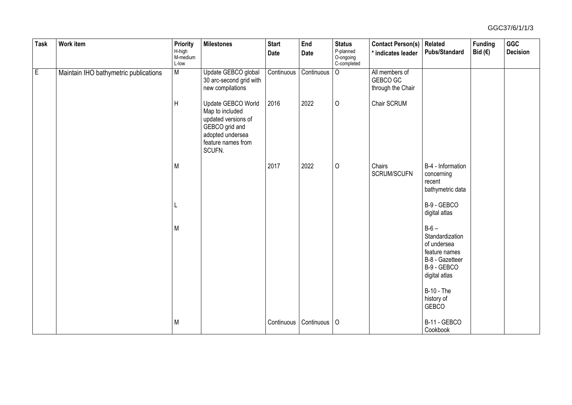| <b>Task</b>    | <b>Work item</b>                      | Priority<br>H-high<br>M-medium<br>L-low | <b>Milestones</b>                                                                                                                  | <b>Start</b><br><b>Date</b> | End<br>Date | <b>Status</b><br>P-planned<br>O-ongoing<br>C-completed | <b>Contact Person(s)</b><br>* indicates leader  | Related<br><b>Pubs/Standard</b>                                                                              | <b>Funding</b><br>Bid $(€)$ | GGC<br><b>Decision</b> |
|----------------|---------------------------------------|-----------------------------------------|------------------------------------------------------------------------------------------------------------------------------------|-----------------------------|-------------|--------------------------------------------------------|-------------------------------------------------|--------------------------------------------------------------------------------------------------------------|-----------------------------|------------------------|
| $\overline{E}$ | Maintain IHO bathymetric publications | M                                       | Update GEBCO global<br>30 arc-second grid with<br>new compilations                                                                 | Continuous                  | Continuous  | $\overline{O}$                                         | All members of<br>GEBCO GC<br>through the Chair |                                                                                                              |                             |                        |
|                |                                       | $\sf H$                                 | Update GEBCO World<br>Map to included<br>updated versions of<br>GEBCO grid and<br>adopted undersea<br>feature names from<br>SCUFN. | 2016                        | 2022        | 0                                                      | Chair SCRUM                                     |                                                                                                              |                             |                        |
|                |                                       | M                                       |                                                                                                                                    | 2017                        | 2022        | 0                                                      | Chairs<br>SCRUM/SCUFN                           | B-4 - Information<br>concerning<br>recent<br>bathymetric data                                                |                             |                        |
|                |                                       |                                         |                                                                                                                                    |                             |             |                                                        |                                                 | B-9 - GEBCO<br>digital atlas                                                                                 |                             |                        |
|                |                                       | M                                       |                                                                                                                                    |                             |             |                                                        |                                                 | $B-6-$<br>Standardization<br>of undersea<br>feature names<br>B-8 - Gazetteer<br>B-9 - GEBCO<br>digital atlas |                             |                        |
|                |                                       |                                         |                                                                                                                                    |                             |             |                                                        |                                                 | <b>B-10 - The</b><br>history of<br>GEBCO                                                                     |                             |                        |
|                |                                       | M                                       |                                                                                                                                    | Continuous                  | Continuous  | $\circ$                                                |                                                 | B-11 - GEBCO<br>Cookbook                                                                                     |                             |                        |